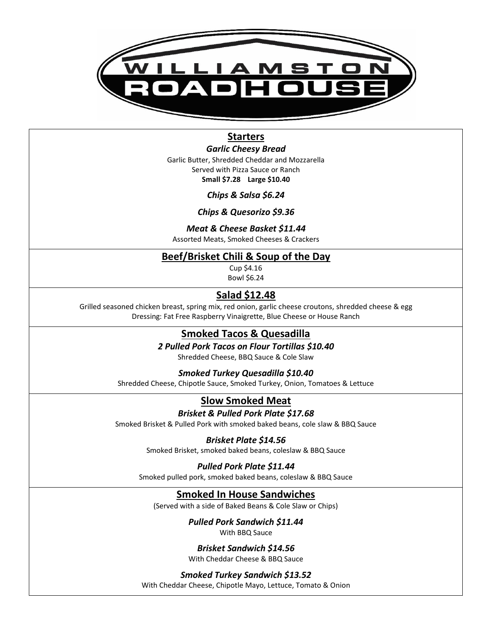

# **Starters**

*Garlic Cheesy Bread* Garlic Butter, Shredded Cheddar and Mozzarella Served with Pizza Sauce or Ranch **Small \$7.28 Large \$10.40**

*Chips & Salsa \$6.24*

*Chips & Quesorizo \$9.36*

*Meat & Cheese Basket \$11.44*

Assorted Meats, Smoked Cheeses & Crackers

## **Beef/Brisket Chili & Soup of the Day**

Cup \$4.16

Bowl \$6.24

# **Salad \$12.48**

Grilled seasoned chicken breast, spring mix, red onion, garlic cheese croutons, shredded cheese & egg Dressing: Fat Free Raspberry Vinaigrette, Blue Cheese or House Ranch

# **Smoked Tacos & Quesadilla**

*2 Pulled Pork Tacos on Flour Tortillas \$10.40*

Shredded Cheese, BBQ Sauce & Cole Slaw

*Smoked Turkey Quesadilla \$10.40*

Shredded Cheese, Chipotle Sauce, Smoked Turkey, Onion, Tomatoes & Lettuce

# **Slow Smoked Meat**

*Brisket & Pulled Pork Plate \$17.68*

Smoked Brisket & Pulled Pork with smoked baked beans, cole slaw & BBQ Sauce

### *Brisket Plate \$14.56*

Smoked Brisket, smoked baked beans, coleslaw & BBQ Sauce

### *Pulled Pork Plate \$11.44*

Smoked pulled pork, smoked baked beans, coleslaw & BBQ Sauce

## **Smoked In House Sandwiches**

(Served with a side of Baked Beans & Cole Slaw or Chips)

#### *Pulled Pork Sandwich \$11.44* With BBQ Sauce

*Brisket Sandwich \$14.56*

With Cheddar Cheese & BBQ Sauce

#### *Smoked Turkey Sandwich \$13.52*

With Cheddar Cheese, Chipotle Mayo, Lettuce, Tomato & Onion